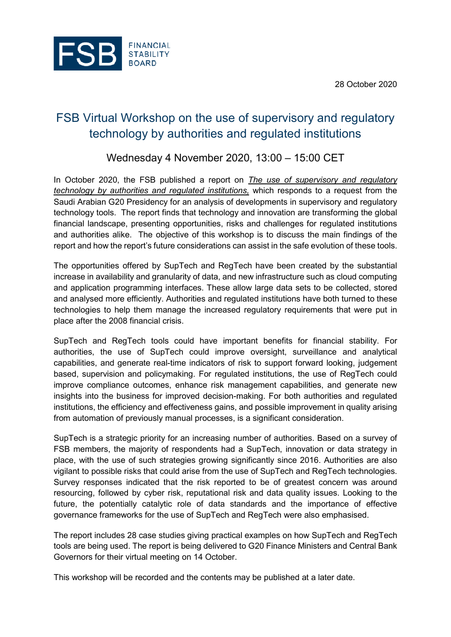28 October 2020



# FSB Virtual Workshop on the use of supervisory and regulatory technology by authorities and regulated institutions

## Wednesday 4 November 202[0, 13:00 – 15:00 CET](https://www.fsb.org/2020/10/fsb-report-highlights-increased-use-of-regtech-and-suptech/)

[In October 2020, the FSB published a report on](https://www.fsb.org/2020/10/fsb-report-highlights-increased-use-of-regtech-and-suptech/) *The use of supervisory and regulatory technology by authorities and regulated institutions,* which responds to a request from the Saudi Arabian G20 Presidency for an analysis of developments in supervisory and regulatory technology tools. The report finds that technology and innovation are transforming the global financial landscape, presenting opportunities, risks and challenges for regulated institutions and authorities alike. The objective of this workshop is to discuss the main findings of the report and how the report's future considerations can assist in the safe evolution of these tools.

The opportunities offered by SupTech and RegTech have been created by the substantial increase in availability and granularity of data, and new infrastructure such as cloud computing and application programming interfaces. These allow large data sets to be collected, stored and analysed more efficiently. Authorities and regulated institutions have both turned to these technologies to help them manage the increased regulatory requirements that were put in place after the 2008 financial crisis.

SupTech and RegTech tools could have important benefits for financial stability. For authorities, the use of SupTech could improve oversight, surveillance and analytical capabilities, and generate real-time indicators of risk to support forward looking, judgement based, supervision and policymaking. For regulated institutions, the use of RegTech could improve compliance outcomes, enhance risk management capabilities, and generate new insights into the business for improved decision-making. For both authorities and regulated institutions, the efficiency and effectiveness gains, and possible improvement in quality arising from automation of previously manual processes, is a significant consideration.

SupTech is a strategic priority for an increasing number of authorities. Based on a survey of FSB members, the majority of respondents had a SupTech, innovation or data strategy in place, with the use of such strategies growing significantly since 2016. Authorities are also vigilant to possible risks that could arise from the use of SupTech and RegTech technologies. Survey responses indicated that the risk reported to be of greatest concern was around resourcing, followed by cyber risk, reputational risk and data quality issues. Looking to the future, the potentially catalytic role of data standards and the importance of effective governance frameworks for the use of SupTech and RegTech were also emphasised.

The report includes 28 case studies giving practical examples on how SupTech and RegTech tools are being used. The report is being delivered to G20 Finance Ministers and Central Bank Governors for their virtual meeting on 14 October.

This workshop will be recorded and the contents may be published at a later date.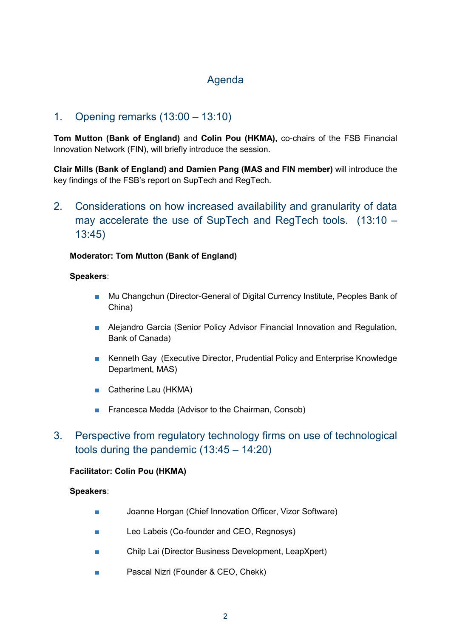## Agenda

### 1. Opening remarks (13:00 – 13:10)

**Tom Mutton (Bank of England)** and **Colin Pou (HKMA),** co-chairs of the FSB Financial Innovation Network (FIN), will briefly introduce the session.

**Clair Mills (Bank of England) and Damien Pang (MAS and FIN member)** will introduce the key findings of the FSB's report on SupTech and RegTech.

2. Considerations on how increased availability and granularity of data may accelerate the use of SupTech and RegTech tools. (13:10 – 13:45)

#### **Moderator: Tom Mutton (Bank of England)**

#### **Speakers**:

- Mu Changchun (Director-General of Digital Currency Institute, Peoples Bank of China)
- Alejandro Garcia (Senior Policy Advisor Financial Innovation and Regulation, Bank of Canada)
- Kenneth Gay (Executive Director, Prudential Policy and Enterprise Knowledge Department, MAS)
- Catherine Lau (HKMA)
- Francesca Medda (Advisor to the Chairman, Consob)
- 3. Perspective from regulatory technology firms on use of technological tools during the pandemic (13:45 – 14:20)

#### **Facilitator: Colin Pou (HKMA)**

#### **Speakers**:

- Joanne Horgan (Chief Innovation Officer, Vizor Software)
- Leo Labeis (Co-founder and CEO, Regnosys)
- Chilp Lai (Director Business Development, LeapXpert)
- Pascal Nizri (Founder & CEO, Chekk)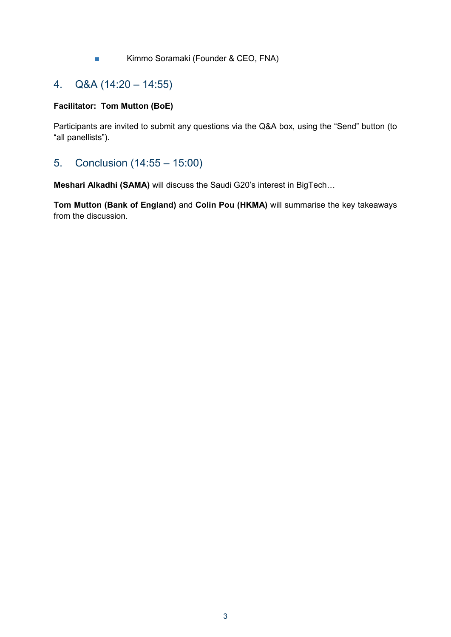■ Kimmo Soramaki (Founder & CEO, FNA)

## 4. Q&A (14:20 – 14:55)

### **Facilitator: Tom Mutton (BoE)**

Participants are invited to submit any questions via the Q&A box, using the "Send" button (to "all panellists").

### 5. Conclusion (14:55 – 15:00)

**Meshari Alkadhi (SAMA)** will discuss the Saudi G20's interest in BigTech…

**Tom Mutton (Bank of England)** and **Colin Pou (HKMA)** will summarise the key takeaways from the discussion.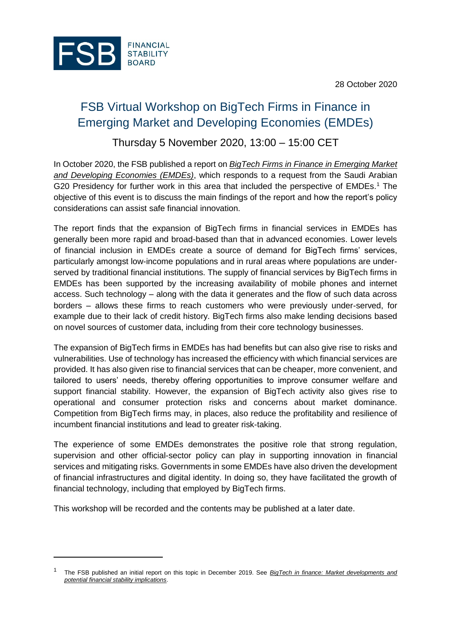28 October 2020



# FSB Virtual Workshop on BigTech Firms in Finance in Emerging Market and Developing Economies (EMDEs)

## Thursday 5 November 2020, 13:00 – 15:00 CET

In October 2020, the FSB published a report on *[BigTech Firms in Finance in Emerging Market](https://www.fsb.org/2020/10/fsb-report-considers-financial-stability-implications-of-bigtech-in-finance-in-emerging-market-and-developing-economies/)  [and Developing Economies \(EMDEs\)](https://www.fsb.org/2020/10/fsb-report-considers-financial-stability-implications-of-bigtech-in-finance-in-emerging-market-and-developing-economies/)*, which responds to a request from the Saudi Arabian G20 Presidency for further work in this area that included the perspective of EMDEs.<sup>1</sup> The objective of this event is to discuss the main findings of the report and how the report's policy considerations can assist safe financial innovation.

The report finds that the expansion of BigTech firms in financial services in EMDEs has generally been more rapid and broad-based than that in advanced economies. Lower levels of financial inclusion in EMDEs create a source of demand for BigTech firms' services, particularly amongst low-income populations and in rural areas where populations are underserved by traditional financial institutions. The supply of financial services by BigTech firms in EMDEs has been supported by the increasing availability of mobile phones and internet access. Such technology – along with the data it generates and the flow of such data across borders – allows these firms to reach customers who were previously under-served, for example due to their lack of credit history. BigTech firms also make lending decisions based on novel sources of customer data, including from their core technology businesses.

The expansion of BigTech firms in EMDEs has had benefits but can also give rise to risks and vulnerabilities. Use of technology has increased the efficiency with which financial services are provided. It has also given rise to financial services that can be cheaper, more convenient, and tailored to users' needs, thereby offering opportunities to improve consumer welfare and support financial stability. However, the expansion of BigTech activity also gives rise to operational and consumer protection risks and concerns about market dominance. Competition from BigTech firms may, in places, also reduce the profitability and resilience of incumbent financial institutions and lead to greater risk-taking.

The experience of some EMDEs demonstrates the positive role that strong regulation, supervision and other official-sector policy can play in supporting innovation in financial services and mitigating risks. Governments in some EMDEs have also driven the development of financial infrastructures and digital identity. In doing so, they have facilitated the growth of financial technology, including that employed by BigTech firms.

This workshop will be recorded and the contents may be published at a later date.

<sup>1</sup> The FSB published an initial report on this topic in December 2019. See *[BigTech in finance: Market developments and](https://www.fsb.org/2019/12/bigtech-in-finance-market-developments-and-potential-financial-stability-implications/)  [potential financial stability implications](https://www.fsb.org/2019/12/bigtech-in-finance-market-developments-and-potential-financial-stability-implications/)*.